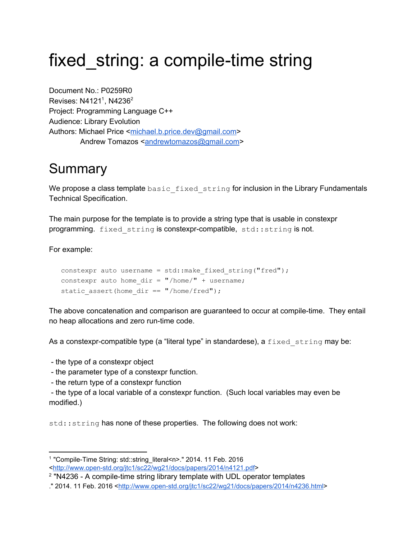# fixed string: a compile-time string

Document No.: P0259R0 Revises:  $N4121<sup>1</sup>$ , N4236<sup>2</sup> Project: Programming Language C++ Audience: Library Evolution Authors: Michael Price [<michael.b.price.dev@gmail.com>](mailto:michael.b.price.dev@gmail.com) Andrew Tomazos [<andrewtomazos@gmail.com>](mailto:andrewtomazos@gmail.com)

### Summary

We propose a class template basic fixed string for inclusion in the Library Fundamentals Technical Specification.

The main purpose for the template is to provide a string type that is usable in constexpr programming.  $fixed\$  string is constexpr-compatible,  $std::string$  is not.

For example:

```
constexpr auto username = std:: make fixed string("fred");
constexpr auto home dir = "/home/" + username;static assert(home dir == "/home/fred");
```
The above concatenation and comparison are guaranteed to occur at compile-time. They entail no heap allocations and zero run-time code.

As a constexpr-compatible type (a "literal type" in standardese), a  $fixed$  string may be:

- the type of a constexpr object

- the parameter type of a constexpr function.

- the return type of a constexpr function

 the type of a local variable of a constexpr function. (Such local variables may even be modified.)

std::string has none of these properties. The following does not work:

<sup>&</sup>lt;sup>1</sup> "Compile-Time String: std::string\_literal<n>." 2014. 11 Feb. 2016 <http://www.open-std.org/jtc1/sc22/wg21/docs/papers/2014/n4121.pdf>

 $2$  "N4236 - A compile-time string library template with UDL operator templates

<sup>.&</sup>quot; 2014. 11 Feb. 2016 [<http://www.openstd.org/jtc1/sc22/wg21/docs/papers/2014/n4236.html>](http://www.open-std.org/jtc1/sc22/wg21/docs/papers/2014/n4236.html)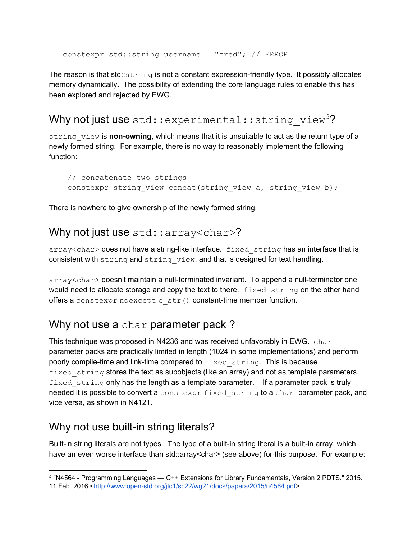constexpr std::string username = "fred"; // ERROR

The reason is that std:: $string$  is not a constant expression-friendly type. It possibly allocates memory dynamically. The possibility of extending the core language rules to enable this has been explored and rejected by EWG.

#### Why not just use  $std::experimental::string$  view<sup>3</sup>?

string view is **non-owning**, which means that it is unsuitable to act as the return type of a newly formed string. For example, there is no way to reasonably implement the following function:

```
// concatenate two strings
constexpr string view concat(string view a, string view b);
```
There is nowhere to give ownership of the newly formed string.

#### Why not just use std::array<char>?

array<char> does not have a string-like interface. fixed string has an interface that is consistent with string and string view, and that is designed for text handling.

array<char> doesn't maintain a null-terminated invariant. To append a null-terminator one would need to allocate storage and copy the text to there. fixed string on the other hand offers a constexpr noexcept  $c$  str() constant-time member function.

#### Why not use a char parameter pack?

This technique was proposed in N4236 and was received unfavorably in EWG.  $char$ parameter packs are practically limited in length (1024 in some implementations) and perform poorly compile-time and link-time compared to  $fixed$  string. This is because fixed string stores the text as subobjects (like an array) and not as template parameters. fixed string only has the length as a template parameter. If a parameter pack is truly needed it is possible to convert a constexpr fixed string to a char parameter pack, and vice versa, as shown in N4121.

### Why not use built-in string literals?

Built-in string literals are not types. The type of a built-in string literal is a built-in array, which have an even worse interface than std::array<char> (see above) for this purpose. For example:

<sup>&</sup>lt;sup>3</sup> "N4564 - Programming Languages — C++ Extensions for Library Fundamentals, Version 2 PDTS." 2015. 11 Feb. 2016 <http://www.open-std.org/jtc1/sc22/wg21/docs/papers/2015/n4564.pdf>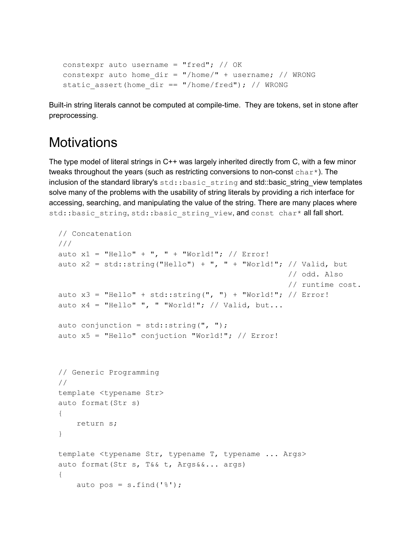```
constexpr auto username = "fred"; // OKconstexpr auto home dir = "/home/ " + username; // WRONGstatic assert(home dir == "/home/fred"); // WRONG
```
Built-in string literals cannot be computed at compile-time. They are tokens, set in stone after preprocessing.

### **Motivations**

The type model of literal strings in C++ was largely inherited directly from C, with a few minor tweaks throughout the years (such as restricting conversions to non-const  $char<sub>*</sub>$ ). The inclusion of the standard library's std::basic\_string and std::basic\_string\_view templates solve many of the problems with the usability of string literals by providing a rich interface for accessing, searching, and manipulating the value of the string. There are many places where std::basic\_string, std::basic\_string\_view, and const char\* all fall short.

```
// Concatenation
///
auto x1 = "Hello" + ", " + "World!"; // Error!auto x2 = std::string("Hello") + ", " + "World!"; // Valid, but// odd. Also
                                                  // runtime cost.
auto x3 = "Hello" + std::string(", ") + "World!"; // Error!auto x4 = "Hello" ", "World!"; // Valid, but...auto conjunction = std::string(", ");auto x5 = "Hello" conjuction "World!"; // Error!
// Generic Programming
//
template <typename Str>
auto format(Str s)
{
    return s;
}
template <typename Str, typename T, typename ... Args>
auto format(Str s, T&& t, Args&&... args)
{
    auto pos = s.find('%');
```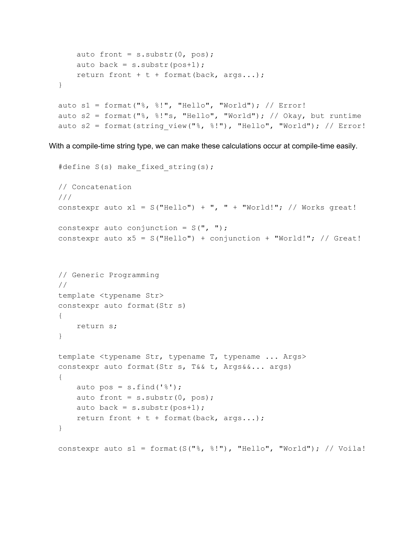```
auto front = s.substr(0, pos);auto back = s.substr(pos+1);return front + t + format(back, args...);
}
auto s1 = format("%, %!", "Hello", "World"); // Error!
auto s2 = format("%, %!"s, "Hello", "World"); // Okay, but runtime
auto s2 = format(string_view("%, %!"), "Hello", "World"); // Error!
```
With a compile-time string type, we can make these calculations occur at compile-time easily.

```
#define S(s) make fixed string(s);
// Concatenation
///
constexpr auto x1 = S("Hello") + ", " + "World!"; // Works great!constexpr auto conjunction = S(", ");constexpr auto x5 = S("Hello") + conjunction + "World!"; // Great!// Generic Programming
//
template <typename Str>
constexpr auto format(Str s)
{
   return s;
}
template <typename Str, typename T, typename ... Args>
constexpr auto format(Str s, T&& t, Args&&... args)
{
    auto pos = s.find('%');auto front = s.substr(0, pos);auto back = s.substr(pos+1);return front + t + format(back, args...);
}
constexpr auto s1 = format(S("%, %!"), "Hello", "World"); // Voila!
```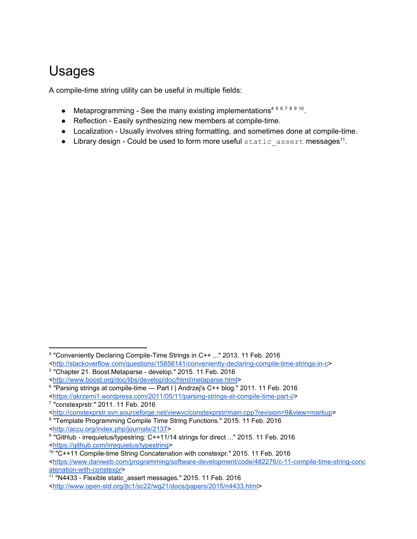## Usages

A compile-time string utility can be useful in multiple fields:

- Metaprogramming See the many existing implementations<sup>45678910</sup>.
- Reflection Easily synthesizing new members at compile-time.
- Localization Usually involves string formatting, and sometimes done at compile-time.
- $\bullet$  Library design Could be used to form more useful static assert messages<sup>11</sup>.

<sup>8</sup> "Template Programming Compile Time String Functions." 2015. 11 Feb. 2016 [<http://accu.org/index.php/journals/2137>](http://accu.org/index.php/journals/2137)

<sup>&</sup>lt;sup>4</sup> "Conveniently Declaring Compile-Time Strings in C++ ..." 2013. 11 Feb. 2016 <http://stackoverflow.com/questions/15858141/conveniently-declaring-compile-time-strings-in-c>

<sup>&</sup>lt;sup>5</sup> "Chapter 21. Boost.Metaparse - develop." 2015. 11 Feb. 2016

[<sup>&</sup>lt;http://www.boost.org/doc/libs/develop/doc/html/metaparse.html>](http://www.boost.org/doc/libs/develop/doc/html/metaparse.html)

<sup>&</sup>lt;sup>6</sup> "Parsing strings at compile-time — Part I | Andrzej's C++ blog." 2011. 11 Feb. 2016 <https://akrzemi1.wordpress.com/2011/05/11/parsing-strings-at-compile-time-part-i/> 7 "constexprstr." 2011. 11 Feb. 2016

[<sup>&</sup>lt;http://constexprstr.svn.sourceforge.net/viewvc/constexprstr/main.cpp?revision=9&view=markup>](http://constexprstr.svn.sourceforge.net/viewvc/constexprstr/main.cpp?revision=9&view=markup)

<sup>&</sup>lt;sup>9</sup> "GitHub - irrequietus/typestring: C++11/14 strings for direct ..." 2015. 11 Feb. 2016 [<https://github.com/irrequietus/typestring>](https://github.com/irrequietus/typestring)

<sup>&</sup>lt;sup>10</sup> "C++11 Compile-time String Concatenation with constexpr." 2015. 11 Feb. 2016 <https://www.daniweb.com/programming/software-development/code/482276/c-11-compile-time-string-conc atenation-with-constexpr>

<sup>&</sup>lt;sup>11</sup> "N4433 - Flexible static\_assert messages." 2015. 11 Feb. 2016 <http://www.open-std.org/jtc1/sc22/wg21/docs/papers/2015/n4433.html>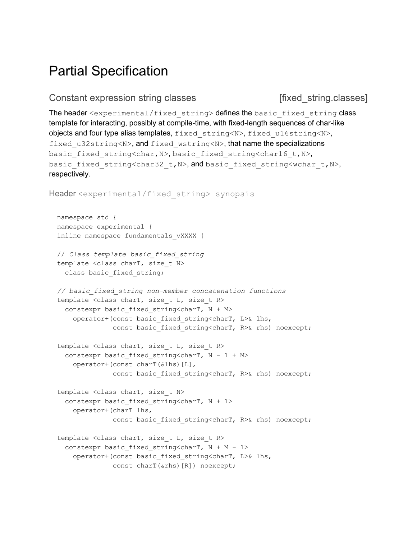### Partial Specification

#### Constant expression string classes [fixed string.classes]

The header <experimental/fixed string>defines the basic fixed string class template for interacting, possibly at compile-time, with fixed-length sequences of char-like objects and four type alias templates, fixed string<N>, fixed u16string<N>, fixed u32string<N>, and fixed wstring<N>, that name the specializations basic fixed string<char, N>, basic fixed string<char16 t, N>, basic fixed string<char32 t,N>, and basic fixed string<wchar t,N>, respectively.

```
Header <experimental/fixed string> synopsis
 namespace std {
 namespace experimental {
  inline namespace fundamentals vXXXX {
 // Class template basic_fixed_string
  template <class charT, size t N>
   class basic fixed string;
  // basic_fixed_string nonmember concatenation functions
  template <class charT, size t L, size t R>
   constexpr basic fixed string<charT, N + Moperator+(const basic_fixed_string<charT, L>& lhs,
               const basic fixed string<charT, R>& rhs) noexcept;
  template <class charT, size t L, size t R>
   constexpr basic fixed string<charT, N - 1 + Moperator+(const charT(&lhs)[L],
               const basic fixed string<charT, R>& rhs) noexcept;
  template <class charT, size t N>
   constexpr basic fixed string<charT, N + 1>
     operator+(charT lhs,
               const basic fixed string<charT, R>& rhs) noexcept;
  template <class charT, size t L, size t R>
   constexpr basic fixed string<charT, N + M - 1>
```
operator+(const basic\_fixed\_string<charT, L>& lhs, const charT(&rhs)[R]) noexcept;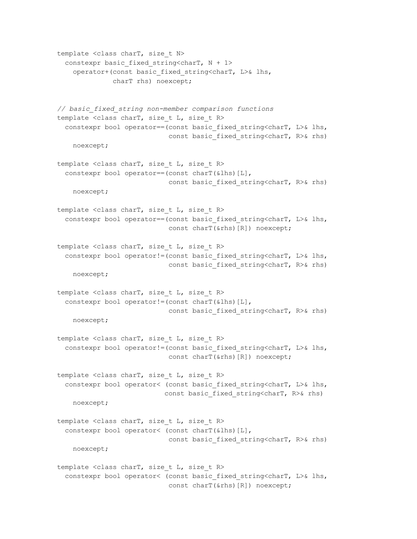```
template <class charT, size t N>
 constexpr basic fixed string<charT, N + 1>
   operator+(const basic_fixed_string<charT, L>& lhs,
              charT rhs) noexcept;
// basic_fixed_string nonmember comparison functions
template <class charT, size t L, size t R>
  constexpr bool operator==(const basic fixed string<charT, L>& lhs,
                            const basic fixed string<charT, R>& rhs)
   noexcept;
template <class charT, size t L, size t R>
 constexpr bool operator==(const charT(&lhs)[L],
                            const basic fixed string<charT, R>& rhs)
   noexcept;
template <class charT, size t L, size t R>
 constexpr bool operator==(const basic fixed string<charT, L>& lhs,
                            const charT(&rhs)[R]) noexcept;
template <class charT, size t L, size t R>
  constexpr bool operator!=(const basic fixed string<charT, L>\& lhs,
                            const basic fixed string<charT, R>& rhs)
   noexcept;
template <class charT, size t L, size t R>
 constexpr bool operator!=(const charT(&lhs)[L],
                            const basic fixed string<charT, R>& rhs)
   noexcept;
template <class charT, size t L, size t R>
 constexpr bool operator!=(const basic fixed string<charT, L>& lhs,
                            const charT(&rhs)[R]) noexcept;
template <class charT, size t L, size t R>
 constexpr bool operator< (const basic fixed string<charT, L>& lhs,
                           const basic fixed string<charT, R>& rhs)
   noexcept;
template <class charT, size t L, size t R>
  constexpr bool operator< (const charT(&lhs)[L],
                            const basic fixed string<charT, R>& rhs)
   noexcept;
template <class charT, size t L, size t R>
 constexpr bool operator< (const basic fixed string<charT, L>& lhs,
                            const charT(&rhs)[R]) noexcept;
```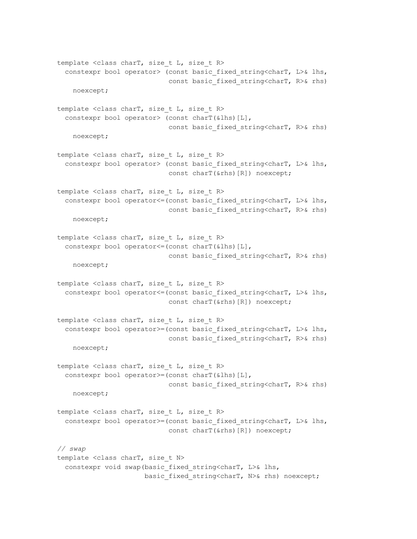template <class charT, size t L, size t R> constexpr bool operator> (const basic fixed string<charT, L>& lhs, const basic fixed string<charT, R>& rhs) noexcept; template <class charT, size t L, size t R> constexpr bool operator> (const charT(&lhs)[L], const basic fixed string<charT, R>& rhs) noexcept; template <class charT, size t L, size t R> constexpr bool operator> (const basic fixed string<charT, L>& lhs, const charT(&rhs)[R]) noexcept; template <class charT, size t L, size t R> constexpr bool operator <= (const basic fixed string<charT, L>& lhs, const basic fixed string<charT, R>& rhs) noexcept; template <class charT, size t L, size t R> constexpr bool operator<=(const charT(&lhs)[L], const basic fixed string<charT, R>& rhs) noexcept; template <class charT, size t L, size t R> constexpr bool operator <= (const basic fixed string<charT, L>& lhs, const charT(&rhs)[R]) noexcept; template <class charT, size t L, size t R> constexpr bool operator>=(const basic fixed string<charT, L>& lhs, const basic fixed string<charT, R>& rhs) noexcept; template <class charT, size t L, size t R> constexpr bool operator>=(const charT(&lhs)[L], const basic fixed string<charT, R>& rhs) noexcept; template <class charT, size t L, size t R> constexpr bool operator>=(const basic fixed string<charT, L>& lhs, const charT(&rhs)[R]) noexcept; *// swap* template <class charT, size t N> constexpr void swap(basic fixed string<charT, L>& lhs, basic fixed string<charT, N>& rhs) noexcept;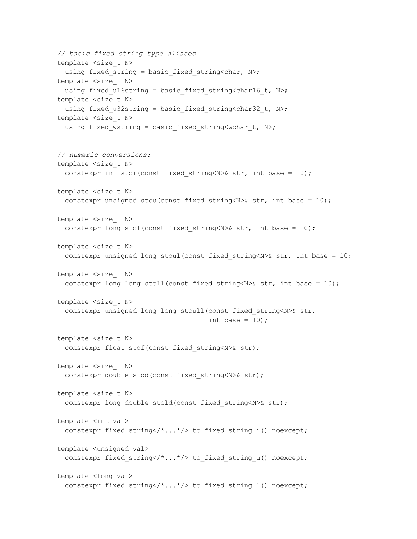```
// basic_fixed_string type aliases
template <size t N>
 using fixed string = basic fixed string<char, N>;
template <size t N>
 using fixed ul6string = basic fixed string<char16 t, N>;
template <size t N>
 using fixed u32string = basic fixed string<char32 t, N>;
template <size t N>
 using fixed wstring = basic fixed string<wchar t, N>;
// numeric conversions:
template <size t N>
 constexpr int stoi(const fixed string<N>& str, int base = 10);
template <size t N>
 constexpr unsigned stou(const fixed string<N>& str, int base = 10);
template <size t N>
 constexpr long stol(const fixed string<N>& str, int base = 10);
template <size_t N>
 constexpr unsigned long stoul(const fixed string<N>& str, int base = 10;
template <size t N>
 constexpr long long stoll(const fixed string<N>& str, int base = 10);
template <size t N>
 constexpr unsigned long long stoull(const fixed string<N>& str,
                                      int base = 10);
template <size t N>
 constexpr float stof(const fixed string<N>& str);
template <size t N>
 constexpr double stod(const fixed string<N>& str);
template <size t N>
 constexpr long double stold(const fixed string<N>& str);
template <int val>
  constexpr fixed string</*...*/> to fixed string i() noexcept;
template <unsigned val>
  constexpr fixed string</*...*/> to fixed string u() noexcept;
template <long val>
 constexpr fixed string</*...*/> to fixed string l () noexcept;
```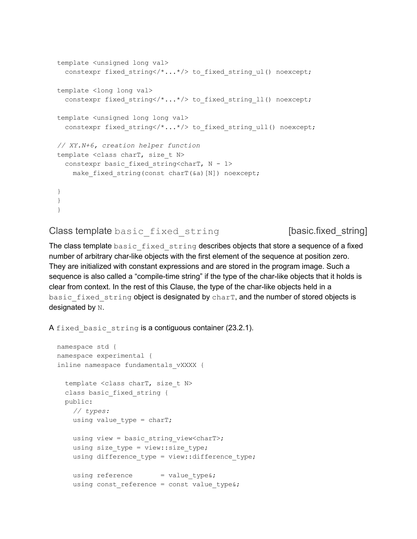```
template <unsigned long val>
 constexpr fixed string</*...*/> to fixed string ul() noexcept;
template <long long val>
 constexpr fixed string</*...*/> to fixed string ll() noexcept;
template <unsigned long long val>
  constexpr fixed string</*...*/> to fixed string ull() noexcept;
// XY.N+6, creation helper function
template <class charT, size t N>
 constexpr basic fixed string<charT, N - 1>
   make fixed string(const charT(&a)[N]) noexcept;
}
}
}
```
Class template basic fixed string [basic.fixed\_string]

The class template basic fixed string describes objects that store a sequence of a fixed number of arbitrary char-like objects with the first element of the sequence at position zero. They are initialized with constant expressions and are stored in the program image. Such a sequence is also called a "compile-time string" if the type of the char-like objects that it holds is clear from context. In the rest of this Clause, the type of the char-like objects held in a basic fixed string object is designated by charT, and the number of stored objects is designated by N.

A fixed basic string is a contiguous container (23.2.1).

```
namespace std {
namespace experimental {
inline namespace fundamentals_vXXXX {
  template <class charT, size_t N>
  class basic fixed string {
  public:
   // types:
    using value type = charT;using view = basic string view<charT>;
    using size type = view::size type;
    using difference type = view::difference type;
    using reference = value type&;
    using const reference = const value type&;
```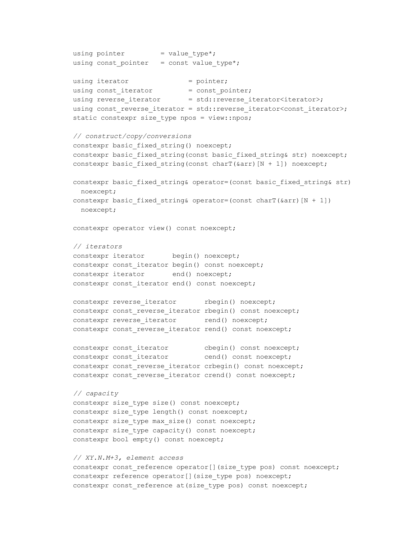```
using pointer = value_type*;
using const pointer = const value type*;
using iterator = pointer;
using const iterator = const pointer;
using reverse iterator = std::reverse iterator<iterator>;
using const reverse iterator = std::reverse iterator<const iterator>;
static constexpr size type npos = view::npos;
// construct/copy/conversions
constexpr basic fixed string() noexcept;
constexpr basic fixed string(const basic fixed string& str) noexcept;
constexpr basic fixed string(const charT(&arcsin(N + 1)) noexcept;
constexpr basic fixed string& operator=(const basic fixed string& str)
 noexcept;
constexpr basic fixed string& operator=(const charT(&arr)[N + 1])
 noexcept;
constexpr operator view() const noexcept;
// iterators
constexpr iterator begin() noexcept;
constexpr const iterator begin() const noexcept;
constexpr iterator end() noexcept;
constexpr const iterator end() const noexcept;
constexpr reverse iterator rbegin() noexcept;
constexpr const reverse iterator rbegin() const noexcept;
constexpr reverse iterator rend() noexcept;
constexpr const reverse iterator rend() const noexcept;
constexpr const_iterator cbegin() const noexcept;
constexpr const_iterator cend() const noexcept;
constexpr const reverse iterator crbegin() const noexcept;
constexpr const reverse iterator crend() const noexcept;
// capacity
constexpr size type size() const noexcept;
constexpr size type length() const noexcept;
constexpr size type max size() const noexcept;
constexpr size type capacity() const noexcept;
constexpr bool empty() const noexcept;
// XY.N.M+3, element access
constexpr const reference operator[](size type pos) const noexcept;
constexpr reference operator[](size type pos) noexcept;
constexpr const reference at(size type pos) const noexcept;
```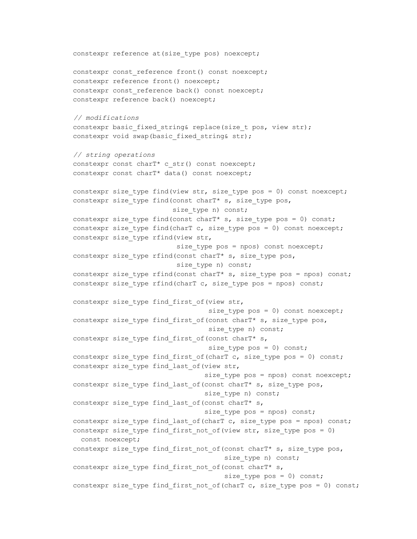```
constexpr reference at (size type pos) noexcept;
constexpr const reference front() const noexcept;
constexpr reference front() noexcept;
constexpr const reference back() const noexcept;
constexpr reference back() noexcept;
// modifications
constexpr basic fixed string& replace(size t pos, view str);
constexpr void swap(basic fixed string& str);
// string operations
constexpr const charT* c str() const noexcept;
constexpr const charT* data() const noexcept;
constexpr size type find(view str, size type pos = 0) const noexcept;
constexpr size type find(const charT* s, size type pos,
                         size type n) const;
constexpr size type find(const charT* s, size_type pos = 0) const;
constexpr size type find(charT c, size type pos = 0) const noexcept;
constexpr size type rfind(view str,
                          size type pos = npos) const noexcept;
constexpr size type rfind(const charT* s, size type pos,
                          size type n) const;
constexpr size type rfind(const charT* s, size type pos = npos) const;
constexpr size type rfind(charT c, size type pos = npos) const;
constexpr size type find first of (view str,
                                  size type pos = 0) const noexcept;
constexpr size type find first of(const charT* s, size type pos,
                                  size type n) const;
constexpr size type find first of (const charT* s,
                                  size type pos = 0) const;
constexpr size type find first of(charT c, size type pos = 0) const;
constexpr size type find last of (view str,
                                 size type pos = npos) const noexcept;
constexpr size type find last of(const charT* s, size type pos,
                                 size type n) const;
constexpr size type find last of (const charT* s,
                                 size type pos = npos) const;
constexpr size type find last of(charT c, size type pos = npos) const;
constexpr size type find first not of(view str, size type pos = 0)
 const noexcept;
constexpr size type find first not of(const charT* s, size type pos,
                                      size type n) const;
constexpr size type find first not of (const charT* s,
                                      size type pos = 0) const;
constexpr size type find first not of(charT c, size type pos = 0) const;
```